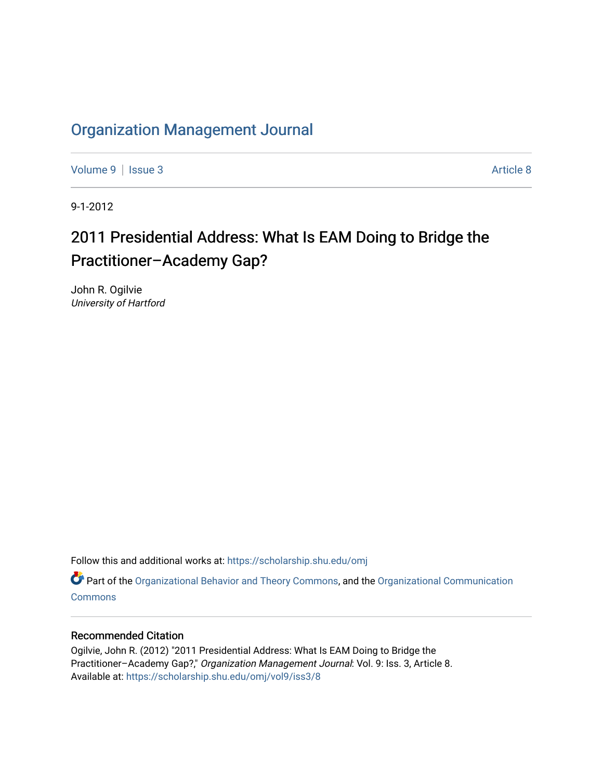# [Organization Management Journal](https://scholarship.shu.edu/omj)

[Volume 9](https://scholarship.shu.edu/omj/vol9) | [Issue 3](https://scholarship.shu.edu/omj/vol9/iss3) Article 8

9-1-2012

# 2011 Presidential Address: What Is EAM Doing to Bridge the Practitioner–Academy Gap?

John R. Ogilvie University of Hartford

Follow this and additional works at: [https://scholarship.shu.edu/omj](https://scholarship.shu.edu/omj?utm_source=scholarship.shu.edu%2Fomj%2Fvol9%2Fiss3%2F8&utm_medium=PDF&utm_campaign=PDFCoverPages) 

Part of the [Organizational Behavior and Theory Commons,](http://network.bepress.com/hgg/discipline/639?utm_source=scholarship.shu.edu%2Fomj%2Fvol9%2Fiss3%2F8&utm_medium=PDF&utm_campaign=PDFCoverPages) and the [Organizational Communication](http://network.bepress.com/hgg/discipline/335?utm_source=scholarship.shu.edu%2Fomj%2Fvol9%2Fiss3%2F8&utm_medium=PDF&utm_campaign=PDFCoverPages) **[Commons](http://network.bepress.com/hgg/discipline/335?utm_source=scholarship.shu.edu%2Fomj%2Fvol9%2Fiss3%2F8&utm_medium=PDF&utm_campaign=PDFCoverPages)** 

### Recommended Citation

Ogilvie, John R. (2012) "2011 Presidential Address: What Is EAM Doing to Bridge the Practitioner-Academy Gap?," Organization Management Journal: Vol. 9: Iss. 3, Article 8. Available at: [https://scholarship.shu.edu/omj/vol9/iss3/8](https://scholarship.shu.edu/omj/vol9/iss3/8?utm_source=scholarship.shu.edu%2Fomj%2Fvol9%2Fiss3%2F8&utm_medium=PDF&utm_campaign=PDFCoverPages)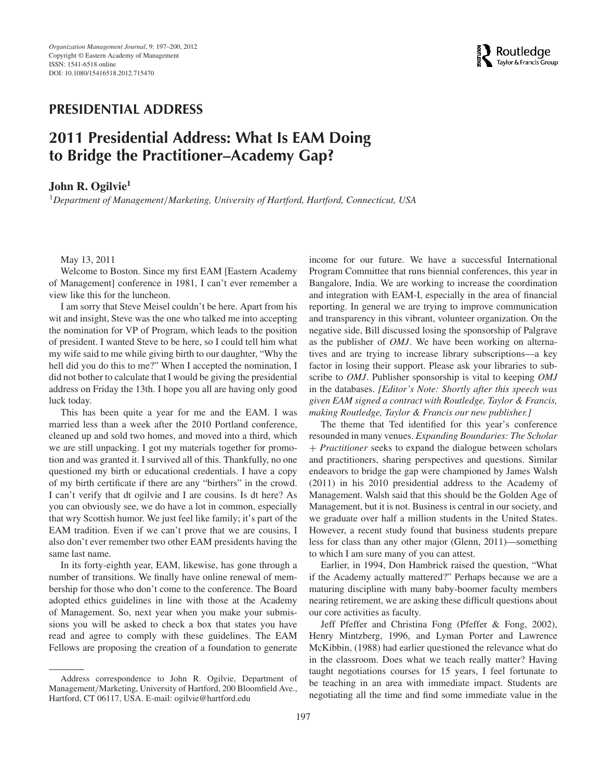### **PRESIDENTIAL ADDRESS**

## **2011 Presidential Address: What Is EAM Doing to Bridge the Practitioner–Academy Gap?**

### **John R. Ogilvie1**

<sup>1</sup>*Department of Management/Marketing, University of Hartford, Hartford, Connecticut, USA*



#### May 13, 2011

Welcome to Boston. Since my first EAM [Eastern Academy of Management] conference in 1981, I can't ever remember a view like this for the luncheon.

I am sorry that Steve Meisel couldn't be here. Apart from his wit and insight, Steve was the one who talked me into accepting the nomination for VP of Program, which leads to the position of president. I wanted Steve to be here, so I could tell him what my wife said to me while giving birth to our daughter, "Why the hell did you do this to me?" When I accepted the nomination, I did not bother to calculate that I would be giving the presidential address on Friday the 13th. I hope you all are having only good luck today.

This has been quite a year for me and the EAM. I was married less than a week after the 2010 Portland conference, cleaned up and sold two homes, and moved into a third, which we are still unpacking. I got my materials together for promotion and was granted it. I survived all of this. Thankfully, no one questioned my birth or educational credentials. I have a copy of my birth certificate if there are any "birthers" in the crowd. I can't verify that dt ogilvie and I are cousins. Is dt here? As you can obviously see, we do have a lot in common, especially that wry Scottish humor. We just feel like family; it's part of the EAM tradition. Even if we can't prove that we are cousins, I also don't ever remember two other EAM presidents having the same last name.

In its forty-eighth year, EAM, likewise, has gone through a number of transitions. We finally have online renewal of membership for those who don't come to the conference. The Board adopted ethics guidelines in line with those at the Academy of Management. So, next year when you make your submissions you will be asked to check a box that states you have read and agree to comply with these guidelines. The EAM Fellows are proposing the creation of a foundation to generate

income for our future. We have a successful International Program Committee that runs biennial conferences, this year in Bangalore, India. We are working to increase the coordination and integration with EAM-I, especially in the area of financial reporting. In general we are trying to improve communication and transparency in this vibrant, volunteer organization. On the negative side, Bill discussed losing the sponsorship of Palgrave as the publisher of *OMJ*. We have been working on alternatives and are trying to increase library subscriptions—a key factor in losing their support. Please ask your libraries to subscribe to *OMJ*. Publisher sponsorship is vital to keeping *OMJ* in the databases. *[Editor's Note: Shortly after this speech was given EAM signed a contract with Routledge, Taylor & Francis, making Routledge, Taylor & Francis our new publisher.]*

The theme that Ted identified for this year's conference resounded in many venues. *Expanding Boundaries: The Scholar* + *Practitioner* seeks to expand the dialogue between scholars and practitioners, sharing perspectives and questions. Similar endeavors to bridge the gap were championed by James Walsh (2011) in his 2010 presidential address to the Academy of Management. Walsh said that this should be the Golden Age of Management, but it is not. Business is central in our society, and we graduate over half a million students in the United States. However, a recent study found that business students prepare less for class than any other major (Glenn, 2011)—something to which I am sure many of you can attest.

Earlier, in 1994, Don Hambrick raised the question, "What if the Academy actually mattered?" Perhaps because we are a maturing discipline with many baby-boomer faculty members nearing retirement, we are asking these difficult questions about our core activities as faculty.

Jeff Pfeffer and Christina Fong (Pfeffer & Fong, 2002), Henry Mintzberg, 1996, and Lyman Porter and Lawrence McKibbin, (1988) had earlier questioned the relevance what do in the classroom. Does what we teach really matter? Having taught negotiations courses for 15 years, I feel fortunate to be teaching in an area with immediate impact. Students are negotiating all the time and find some immediate value in the

Address correspondence to John R. Ogilvie, Department of Management*/*Marketing, University of Hartford, 200 Bloomfield Ave., Hartford, CT 06117, USA. E-mail: ogilvie@hartford.edu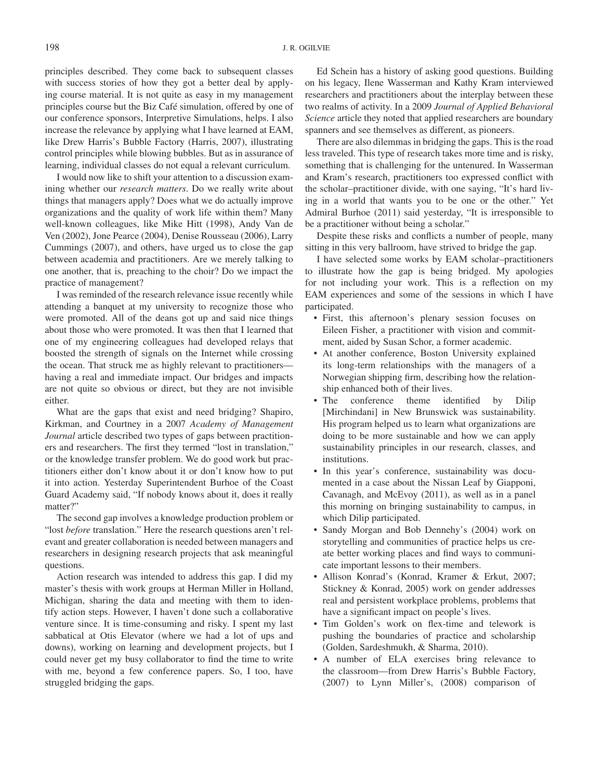principles described. They come back to subsequent classes with success stories of how they got a better deal by applying course material. It is not quite as easy in my management principles course but the Biz Café simulation, offered by one of our conference sponsors, Interpretive Simulations, helps. I also increase the relevance by applying what I have learned at EAM, like Drew Harris's Bubble Factory (Harris, 2007), illustrating control principles while blowing bubbles. But as in assurance of learning, individual classes do not equal a relevant curriculum.

I would now like to shift your attention to a discussion examining whether our *research matters*. Do we really write about things that managers apply? Does what we do actually improve organizations and the quality of work life within them? Many well-known colleagues, like Mike Hitt (1998), Andy Van de Ven (2002), Jone Pearce (2004), Denise Rousseau (2006), Larry Cummings (2007), and others, have urged us to close the gap between academia and practitioners. Are we merely talking to one another, that is, preaching to the choir? Do we impact the practice of management?

I was reminded of the research relevance issue recently while attending a banquet at my university to recognize those who were promoted. All of the deans got up and said nice things about those who were promoted. It was then that I learned that one of my engineering colleagues had developed relays that boosted the strength of signals on the Internet while crossing the ocean. That struck me as highly relevant to practitioners having a real and immediate impact. Our bridges and impacts are not quite so obvious or direct, but they are not invisible either.

What are the gaps that exist and need bridging? Shapiro, Kirkman, and Courtney in a 2007 *Academy of Management Journal* article described two types of gaps between practitioners and researchers. The first they termed "lost in translation," or the knowledge transfer problem. We do good work but practitioners either don't know about it or don't know how to put it into action. Yesterday Superintendent Burhoe of the Coast Guard Academy said, "If nobody knows about it, does it really matter?"

The second gap involves a knowledge production problem or "lost *before* translation." Here the research questions aren't relevant and greater collaboration is needed between managers and researchers in designing research projects that ask meaningful questions.

Action research was intended to address this gap. I did my master's thesis with work groups at Herman Miller in Holland, Michigan, sharing the data and meeting with them to identify action steps. However, I haven't done such a collaborative venture since. It is time-consuming and risky. I spent my last sabbatical at Otis Elevator (where we had a lot of ups and downs), working on learning and development projects, but I could never get my busy collaborator to find the time to write with me, beyond a few conference papers. So, I too, have struggled bridging the gaps.

Ed Schein has a history of asking good questions. Building on his legacy, Ilene Wasserman and Kathy Kram interviewed researchers and practitioners about the interplay between these two realms of activity. In a 2009 *Journal of Applied Behavioral Science* article they noted that applied researchers are boundary spanners and see themselves as different, as pioneers.

There are also dilemmas in bridging the gaps. This is the road less traveled. This type of research takes more time and is risky, something that is challenging for the untenured. In Wasserman and Kram's research, practitioners too expressed conflict with the scholar–practitioner divide, with one saying, "It's hard living in a world that wants you to be one or the other." Yet Admiral Burhoe (2011) said yesterday, "It is irresponsible to be a practitioner without being a scholar."

Despite these risks and conflicts a number of people, many sitting in this very ballroom, have strived to bridge the gap.

I have selected some works by EAM scholar–practitioners to illustrate how the gap is being bridged. My apologies for not including your work. This is a reflection on my EAM experiences and some of the sessions in which I have participated.

- First, this afternoon's plenary session focuses on Eileen Fisher, a practitioner with vision and commitment, aided by Susan Schor, a former academic.
- At another conference, Boston University explained its long-term relationships with the managers of a Norwegian shipping firm, describing how the relationship enhanced both of their lives.
- The conference theme identified by Dilip [Mirchindani] in New Brunswick was sustainability. His program helped us to learn what organizations are doing to be more sustainable and how we can apply sustainability principles in our research, classes, and institutions.
- In this year's conference, sustainability was documented in a case about the Nissan Leaf by Giapponi, Cavanagh, and McEvoy (2011), as well as in a panel this morning on bringing sustainability to campus, in which Dilip participated.
- Sandy Morgan and Bob Dennehy's (2004) work on storytelling and communities of practice helps us create better working places and find ways to communicate important lessons to their members.
- Allison Konrad's (Konrad, Kramer & Erkut, 2007; Stickney & Konrad, 2005) work on gender addresses real and persistent workplace problems, problems that have a significant impact on people's lives.
- Tim Golden's work on flex-time and telework is pushing the boundaries of practice and scholarship (Golden, Sardeshmukh, & Sharma, 2010).
- A number of ELA exercises bring relevance to the classroom—from Drew Harris's Bubble Factory, (2007) to Lynn Miller's, (2008) comparison of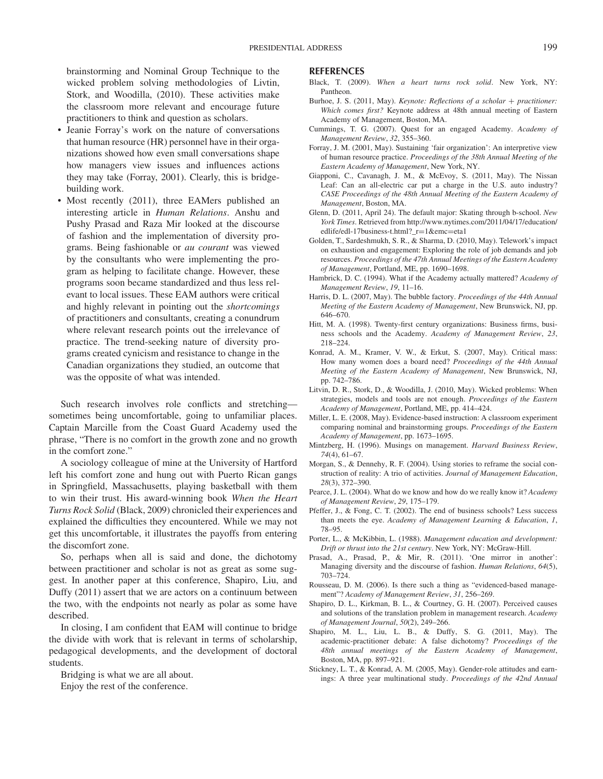brainstorming and Nominal Group Technique to the wicked problem solving methodologies of Livtin, Stork, and Woodilla, (2010). These activities make the classroom more relevant and encourage future practitioners to think and question as scholars.

- Jeanie Forray's work on the nature of conversations that human resource (HR) personnel have in their organizations showed how even small conversations shape how managers view issues and influences actions they may take (Forray, 2001). Clearly, this is bridgebuilding work.
- Most recently (2011), three EAMers published an interesting article in *Human Relations*. Anshu and Pushy Prasad and Raza Mir looked at the discourse of fashion and the implementation of diversity programs. Being fashionable or *au courant* was viewed by the consultants who were implementing the program as helping to facilitate change. However, these programs soon became standardized and thus less relevant to local issues. These EAM authors were critical and highly relevant in pointing out the *shortcomings* of practitioners and consultants, creating a conundrum where relevant research points out the irrelevance of practice. The trend-seeking nature of diversity programs created cynicism and resistance to change in the Canadian organizations they studied, an outcome that was the opposite of what was intended.

Such research involves role conflicts and stretching sometimes being uncomfortable, going to unfamiliar places. Captain Marcille from the Coast Guard Academy used the phrase, "There is no comfort in the growth zone and no growth in the comfort zone."

A sociology colleague of mine at the University of Hartford left his comfort zone and hung out with Puerto Rican gangs in Springfield, Massachusetts, playing basketball with them to win their trust. His award-winning book *When the Heart Turns Rock Solid* (Black, 2009) chronicled their experiences and explained the difficulties they encountered. While we may not get this uncomfortable, it illustrates the payoffs from entering the discomfort zone.

So, perhaps when all is said and done, the dichotomy between practitioner and scholar is not as great as some suggest. In another paper at this conference, Shapiro, Liu, and Duffy (2011) assert that we are actors on a continuum between the two, with the endpoints not nearly as polar as some have described.

In closing, I am confident that EAM will continue to bridge the divide with work that is relevant in terms of scholarship, pedagogical developments, and the development of doctoral students.

Bridging is what we are all about.

Enjoy the rest of the conference.

#### **REFERENCES**

- Black, T. (2009). *When a heart turns rock solid*. New York, NY: Pantheon.
- Burhoe, J. S. (2011, May). *Keynote: Reflections of a scholar* + *practitioner: Which comes first?* Keynote address at 48th annual meeting of Eastern Academy of Management, Boston, MA.
- Cummings, T. G. (2007). Quest for an engaged Academy. *Academy of Management Review*, *32*, 355–360.
- Forray, J. M. (2001, May). Sustaining 'fair organization': An interpretive view of human resource practice. *Proceedings of the 38th Annual Meeting of the Eastern Academy of Management*, New York, NY.
- Giapponi, C., Cavanagh, J. M., & McEvoy, S. (2011, May). The Nissan Leaf: Can an all-electric car put a charge in the U.S. auto industry? *CASE Proceedings of the 48th Annual Meeting of the Eastern Academy of Management*, Boston, MA.
- Glenn, D. (2011, April 24). The default major: Skating through b-school. *New York Times*. Retrieved from http://www.nytimes.com/2011/04/17/education/ edlife/edl-17business-t.html? r=1&emc=eta1
- Golden, T., Sardeshmukh, S. R., & Sharma, D. (2010, May). Telework's impact on exhaustion and engagement: Exploring the role of job demands and job resources. *Proceedings of the 47th Annual Meetings of the Eastern Academy of Management*, Portland, ME, pp. 1690–1698.
- Hambrick, D. C. (1994). What if the Academy actually mattered? *Academy of Management Review*, *19*, 11–16.
- Harris, D. L. (2007, May). The bubble factory. *Proceedings of the 44th Annual Meeting of the Eastern Academy of Management*, New Brunswick, NJ, pp. 646–670.
- Hitt, M. A. (1998). Twenty-first century organizations: Business firms, business schools and the Academy. *Academy of Management Review*, *23*, 218–224.
- Konrad, A. M., Kramer, V. W., & Erkut, S. (2007, May). Critical mass: How many women does a board need? *Proceedings of the 44th Annual Meeting of the Eastern Academy of Management*, New Brunswick, NJ, pp. 742–786.
- Litvin, D. R., Stork, D., & Woodilla, J. (2010, May). Wicked problems: When strategies, models and tools are not enough. *Proceedings of the Eastern Academy of Management*, Portland, ME, pp. 414–424.
- Miller, L. E. (2008, May). Evidence-based instruction: A classroom experiment comparing nominal and brainstorming groups. *Proceedings of the Eastern Academy of Management*, pp. 1673–1695.
- Mintzberg, H. (1996). Musings on management. *Harvard Business Review*, *74*(4), 61–67.
- Morgan, S., & Dennehy, R. F. (2004). Using stories to reframe the social construction of reality: A trio of activities. *Journal of Management Education*, *28*(3), 372–390.
- Pearce, J. L. (2004). What do we know and how do we really know it? *Academy of Management Review*, *29*, 175–179.
- Pfeffer, J., & Fong, C. T. (2002). The end of business schools? Less success than meets the eye. *Academy of Management Learning & Education*, *1*, 78–95.
- Porter, L., & McKibbin, L. (1988). *Management education and development: Drift or thrust into the 21st century*. New York, NY: McGraw-Hill.
- Prasad, A., Prasad, P., & Mir, R. (2011). 'One mirror in another': Managing diversity and the discourse of fashion. *Human Relations*, *64*(5), 703–724.
- Rousseau, D. M. (2006). Is there such a thing as "evidenced-based management"? *Academy of Management Review*, *31*, 256–269.
- Shapiro, D. L., Kirkman, B. L., & Courtney, G. H. (2007). Perceived causes and solutions of the translation problem in management research. *Academy of Management Journal*, *50*(2), 249–266.
- Shapiro, M. L., Liu, L. B., & Duffy, S. G. (2011, May). The academic-practitioner debate: A false dichotomy? *Proceedings of the 48th annual meetings of the Eastern Academy of Management*, Boston, MA, pp. 897–921.
- Stickney, L. T., & Konrad, A. M. (2005, May). Gender-role attitudes and earnings: A three year multinational study. *Proceedings of the 42nd Annual*